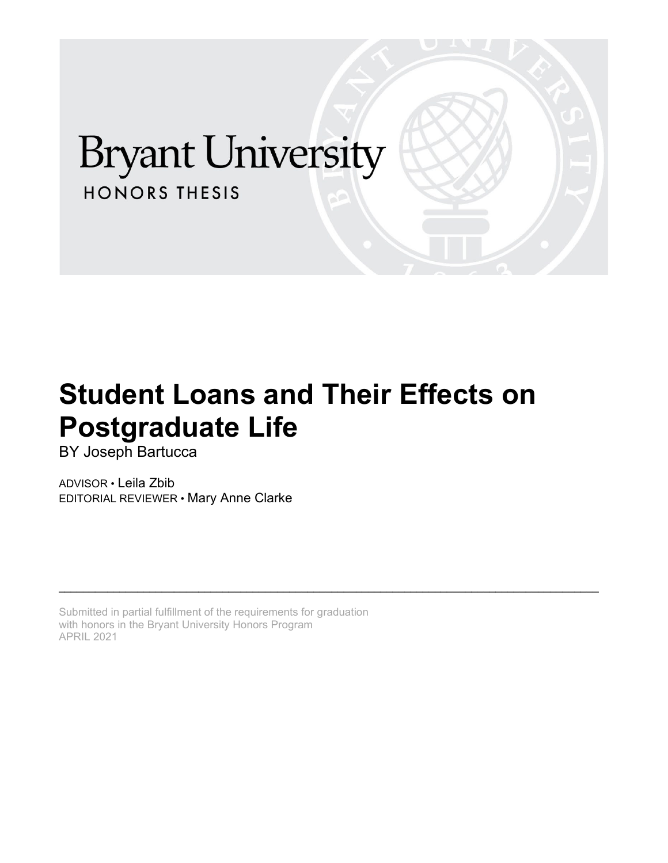# **Bryant University HONORS THESIS**

# **Student Loans and Their Effects on Postgraduate Life**

\_\_\_\_\_\_\_\_\_\_\_\_\_\_\_\_\_\_\_\_\_\_\_\_\_\_\_\_\_\_\_\_\_\_\_\_\_\_\_\_\_\_\_\_\_\_\_\_\_\_\_\_\_\_\_\_\_\_\_\_\_\_\_\_\_\_\_\_\_\_\_\_\_\_\_\_\_\_\_\_\_\_\_\_\_\_\_\_\_

BY Joseph Bartucca

ADVISOR • Leila Zbib EDITORIAL REVIEWER • Mary Anne Clarke

Submitted in partial fulfillment of the requirements for graduation with honors in the Bryant University Honors Program APRIL 2021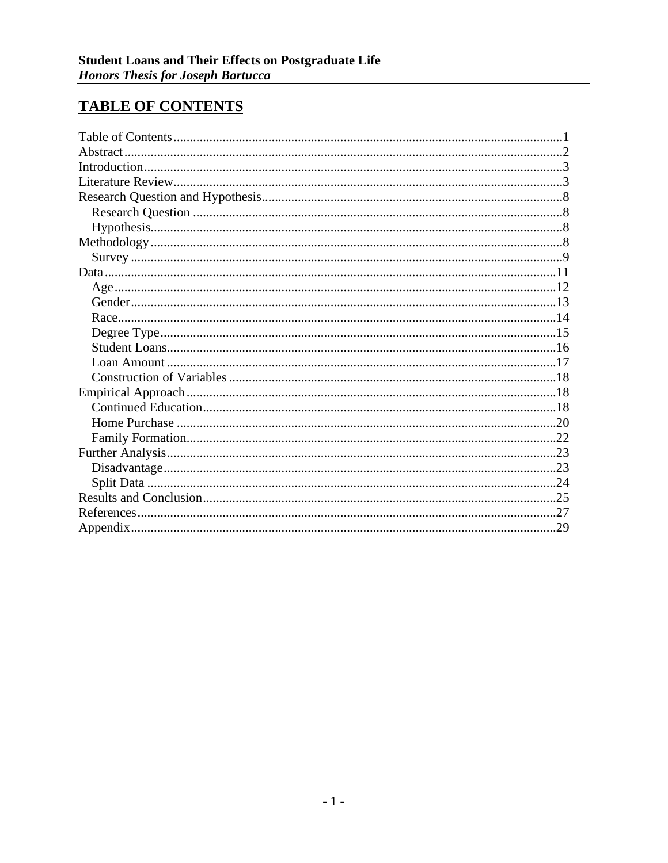# <span id="page-1-0"></span>**TABLE OF CONTENTS**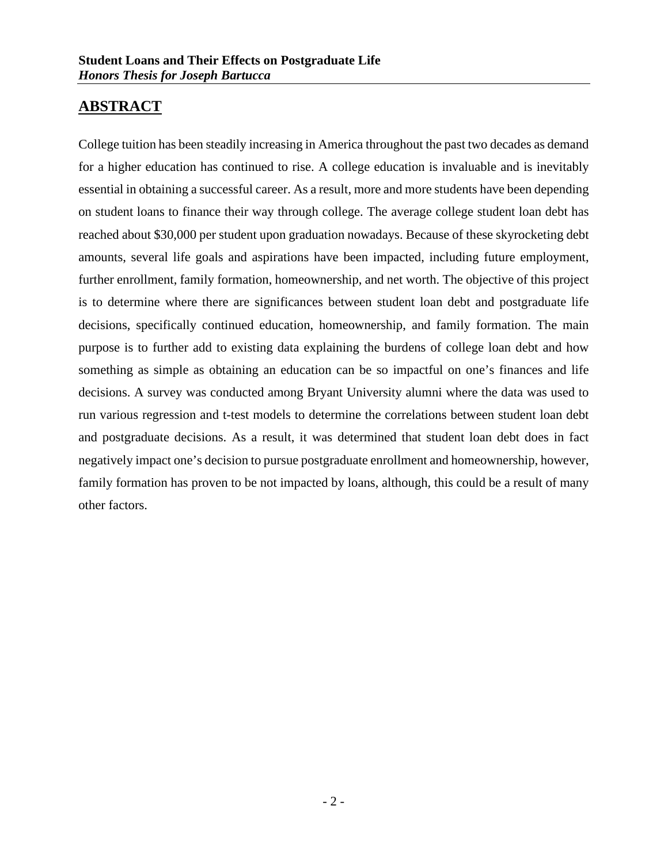# <span id="page-2-0"></span>**ABSTRACT**

College tuition has been steadily increasing in America throughout the past two decades as demand for a higher education has continued to rise. A college education is invaluable and is inevitably essential in obtaining a successful career. As a result, more and more students have been depending on student loans to finance their way through college. The average college student loan debt has reached about \$30,000 per student upon graduation nowadays. Because of these skyrocketing debt amounts, several life goals and aspirations have been impacted, including future employment, further enrollment, family formation, homeownership, and net worth. The objective of this project is to determine where there are significances between student loan debt and postgraduate life decisions, specifically continued education, homeownership, and family formation. The main purpose is to further add to existing data explaining the burdens of college loan debt and how something as simple as obtaining an education can be so impactful on one's finances and life decisions. A survey was conducted among Bryant University alumni where the data was used to run various regression and t-test models to determine the correlations between student loan debt and postgraduate decisions. As a result, it was determined that student loan debt does in fact negatively impact one's decision to pursue postgraduate enrollment and homeownership, however, family formation has proven to be not impacted by loans, although, this could be a result of many other factors.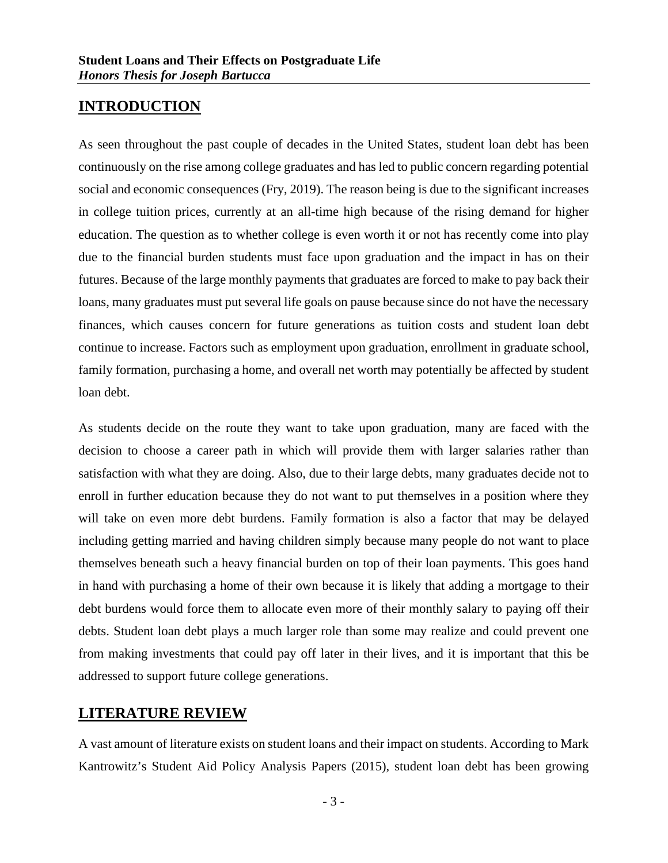## <span id="page-3-0"></span>**INTRODUCTION**

As seen throughout the past couple of decades in the United States, student loan debt has been continuously on the rise among college graduates and has led to public concern regarding potential social and economic consequences (Fry, 2019). The reason being is due to the significant increases in college tuition prices, currently at an all-time high because of the rising demand for higher education. The question as to whether college is even worth it or not has recently come into play due to the financial burden students must face upon graduation and the impact in has on their futures. Because of the large monthly payments that graduates are forced to make to pay back their loans, many graduates must put several life goals on pause because since do not have the necessary finances, which causes concern for future generations as tuition costs and student loan debt continue to increase. Factors such as employment upon graduation, enrollment in graduate school, family formation, purchasing a home, and overall net worth may potentially be affected by student loan debt.

As students decide on the route they want to take upon graduation, many are faced with the decision to choose a career path in which will provide them with larger salaries rather than satisfaction with what they are doing. Also, due to their large debts, many graduates decide not to enroll in further education because they do not want to put themselves in a position where they will take on even more debt burdens. Family formation is also a factor that may be delayed including getting married and having children simply because many people do not want to place themselves beneath such a heavy financial burden on top of their loan payments. This goes hand in hand with purchasing a home of their own because it is likely that adding a mortgage to their debt burdens would force them to allocate even more of their monthly salary to paying off their debts. Student loan debt plays a much larger role than some may realize and could prevent one from making investments that could pay off later in their lives, and it is important that this be addressed to support future college generations.

## <span id="page-3-1"></span>**LITERATURE REVIEW**

A vast amount of literature exists on student loans and their impact on students. According to Mark Kantrowitz's Student Aid Policy Analysis Papers (2015), student loan debt has been growing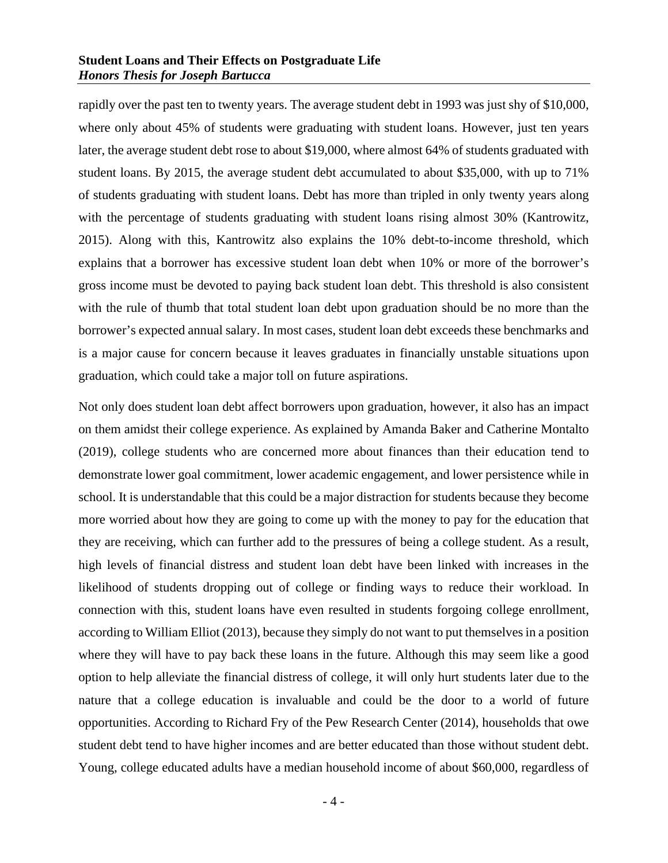rapidly over the past ten to twenty years. The average student debt in 1993 was just shy of \$10,000, where only about 45% of students were graduating with student loans. However, just ten years later, the average student debt rose to about \$19,000, where almost 64% of students graduated with student loans. By 2015, the average student debt accumulated to about \$35,000, with up to 71% of students graduating with student loans. Debt has more than tripled in only twenty years along with the percentage of students graduating with student loans rising almost 30% (Kantrowitz, 2015). Along with this, Kantrowitz also explains the 10% debt-to-income threshold, which explains that a borrower has excessive student loan debt when 10% or more of the borrower's gross income must be devoted to paying back student loan debt. This threshold is also consistent with the rule of thumb that total student loan debt upon graduation should be no more than the borrower's expected annual salary. In most cases, student loan debt exceeds these benchmarks and is a major cause for concern because it leaves graduates in financially unstable situations upon graduation, which could take a major toll on future aspirations.

Not only does student loan debt affect borrowers upon graduation, however, it also has an impact on them amidst their college experience. As explained by Amanda Baker and Catherine Montalto (2019), college students who are concerned more about finances than their education tend to demonstrate lower goal commitment, lower academic engagement, and lower persistence while in school. It is understandable that this could be a major distraction for students because they become more worried about how they are going to come up with the money to pay for the education that they are receiving, which can further add to the pressures of being a college student. As a result, high levels of financial distress and student loan debt have been linked with increases in the likelihood of students dropping out of college or finding ways to reduce their workload. In connection with this, student loans have even resulted in students forgoing college enrollment, according to William Elliot (2013), because they simply do not want to put themselves in a position where they will have to pay back these loans in the future. Although this may seem like a good option to help alleviate the financial distress of college, it will only hurt students later due to the nature that a college education is invaluable and could be the door to a world of future opportunities. According to Richard Fry of the Pew Research Center (2014), households that owe student debt tend to have higher incomes and are better educated than those without student debt. Young, college educated adults have a median household income of about \$60,000, regardless of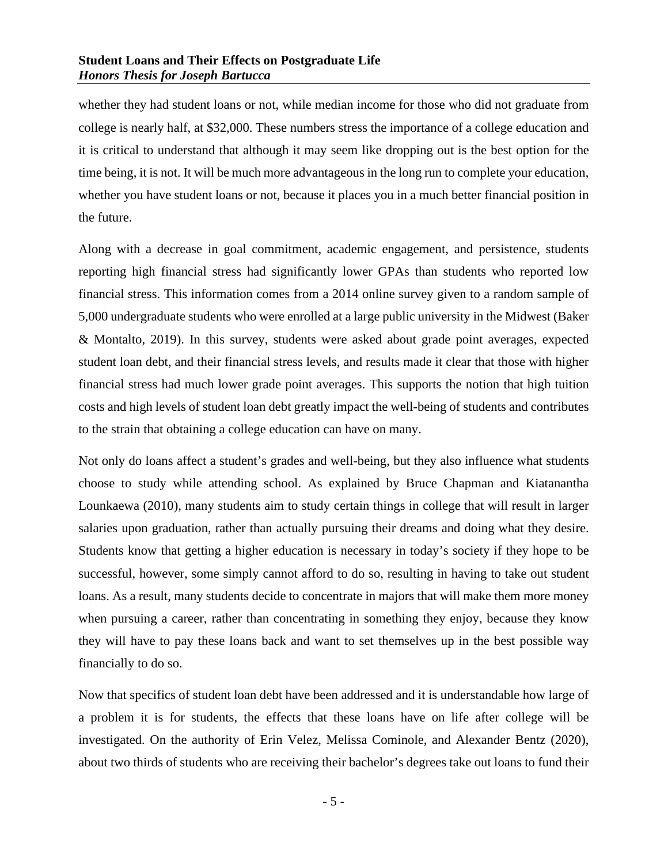#### **Student Loans and Their Effects on Postgraduate Life** *Honors Thesis for Joseph Bartucca*

whether they had student loans or not, while median income for those who did not graduate from college is nearly half, at \$32,000. These numbers stress the importance of a college education and it is critical to understand that although it may seem like dropping out is the best option for the time being, it is not. It will be much more advantageous in the long run to complete your education, whether you have student loans or not, because it places you in a much better financial position in the future.

Along with a decrease in goal commitment, academic engagement, and persistence, students reporting high financial stress had significantly lower GPAs than students who reported low financial stress. This information comes from a 2014 online survey given to a random sample of 5,000 undergraduate students who were enrolled at a large public university in the Midwest (Baker & Montalto, 2019). In this survey, students were asked about grade point averages, expected student loan debt, and their financial stress levels, and results made it clear that those with higher financial stress had much lower grade point averages. This supports the notion that high tuition costs and high levels of student loan debt greatly impact the well-being of students and contributes to the strain that obtaining a college education can have on many.

Not only do loans affect a student's grades and well-being, but they also influence what students choose to study while attending school. As explained by Bruce Chapman and Kiatanantha Lounkaewa (2010), many students aim to study certain things in college that will result in larger salaries upon graduation, rather than actually pursuing their dreams and doing what they desire. Students know that getting a higher education is necessary in today's society if they hope to be successful, however, some simply cannot afford to do so, resulting in having to take out student loans. As a result, many students decide to concentrate in majors that will make them more money when pursuing a career, rather than concentrating in something they enjoy, because they know they will have to pay these loans back and want to set themselves up in the best possible way financially to do so.

Now that specifics of student loan debt have been addressed and it is understandable how large of a problem it is for students, the effects that these loans have on life after college will be investigated. On the authority of Erin Velez, Melissa Cominole, and Alexander Bentz (2020), about two thirds of students who are receiving their bachelor's degrees take out loans to fund their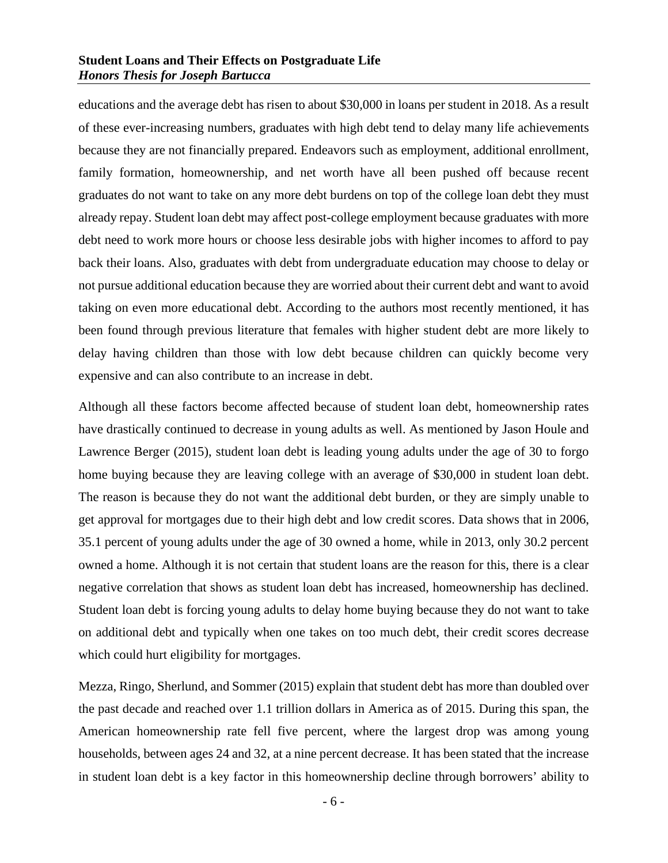#### **Student Loans and Their Effects on Postgraduate Life** *Honors Thesis for Joseph Bartucca*

educations and the average debt has risen to about \$30,000 in loans per student in 2018. As a result of these ever-increasing numbers, graduates with high debt tend to delay many life achievements because they are not financially prepared. Endeavors such as employment, additional enrollment, family formation, homeownership, and net worth have all been pushed off because recent graduates do not want to take on any more debt burdens on top of the college loan debt they must already repay. Student loan debt may affect post-college employment because graduates with more debt need to work more hours or choose less desirable jobs with higher incomes to afford to pay back their loans. Also, graduates with debt from undergraduate education may choose to delay or not pursue additional education because they are worried about their current debt and want to avoid taking on even more educational debt. According to the authors most recently mentioned, it has been found through previous literature that females with higher student debt are more likely to delay having children than those with low debt because children can quickly become very expensive and can also contribute to an increase in debt.

Although all these factors become affected because of student loan debt, homeownership rates have drastically continued to decrease in young adults as well. As mentioned by Jason Houle and Lawrence Berger (2015), student loan debt is leading young adults under the age of 30 to forgo home buying because they are leaving college with an average of \$30,000 in student loan debt. The reason is because they do not want the additional debt burden, or they are simply unable to get approval for mortgages due to their high debt and low credit scores. Data shows that in 2006, 35.1 percent of young adults under the age of 30 owned a home, while in 2013, only 30.2 percent owned a home. Although it is not certain that student loans are the reason for this, there is a clear negative correlation that shows as student loan debt has increased, homeownership has declined. Student loan debt is forcing young adults to delay home buying because they do not want to take on additional debt and typically when one takes on too much debt, their credit scores decrease which could hurt eligibility for mortgages.

Mezza, Ringo, Sherlund, and Sommer (2015) explain that student debt has more than doubled over the past decade and reached over 1.1 trillion dollars in America as of 2015. During this span, the American homeownership rate fell five percent, where the largest drop was among young households, between ages 24 and 32, at a nine percent decrease. It has been stated that the increase in student loan debt is a key factor in this homeownership decline through borrowers' ability to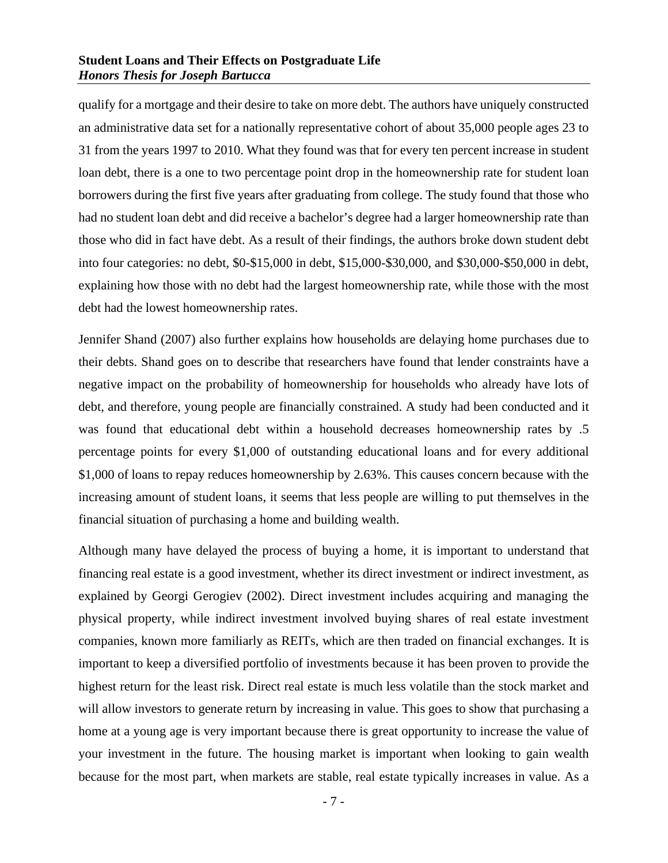qualify for a mortgage and their desire to take on more debt. The authors have uniquely constructed an administrative data set for a nationally representative cohort of about 35,000 people ages 23 to 31 from the years 1997 to 2010. What they found was that for every ten percent increase in student loan debt, there is a one to two percentage point drop in the homeownership rate for student loan borrowers during the first five years after graduating from college. The study found that those who had no student loan debt and did receive a bachelor's degree had a larger homeownership rate than those who did in fact have debt. As a result of their findings, the authors broke down student debt into four categories: no debt, \$0-\$15,000 in debt, \$15,000-\$30,000, and \$30,000-\$50,000 in debt, explaining how those with no debt had the largest homeownership rate, while those with the most debt had the lowest homeownership rates.

Jennifer Shand (2007) also further explains how households are delaying home purchases due to their debts. Shand goes on to describe that researchers have found that lender constraints have a negative impact on the probability of homeownership for households who already have lots of debt, and therefore, young people are financially constrained. A study had been conducted and it was found that educational debt within a household decreases homeownership rates by .5 percentage points for every \$1,000 of outstanding educational loans and for every additional \$1,000 of loans to repay reduces homeownership by 2.63%. This causes concern because with the increasing amount of student loans, it seems that less people are willing to put themselves in the financial situation of purchasing a home and building wealth.

Although many have delayed the process of buying a home, it is important to understand that financing real estate is a good investment, whether its direct investment or indirect investment, as explained by Georgi Gerogiev (2002). Direct investment includes acquiring and managing the physical property, while indirect investment involved buying shares of real estate investment companies, known more familiarly as REITs, which are then traded on financial exchanges. It is important to keep a diversified portfolio of investments because it has been proven to provide the highest return for the least risk. Direct real estate is much less volatile than the stock market and will allow investors to generate return by increasing in value. This goes to show that purchasing a home at a young age is very important because there is great opportunity to increase the value of your investment in the future. The housing market is important when looking to gain wealth because for the most part, when markets are stable, real estate typically increases in value. As a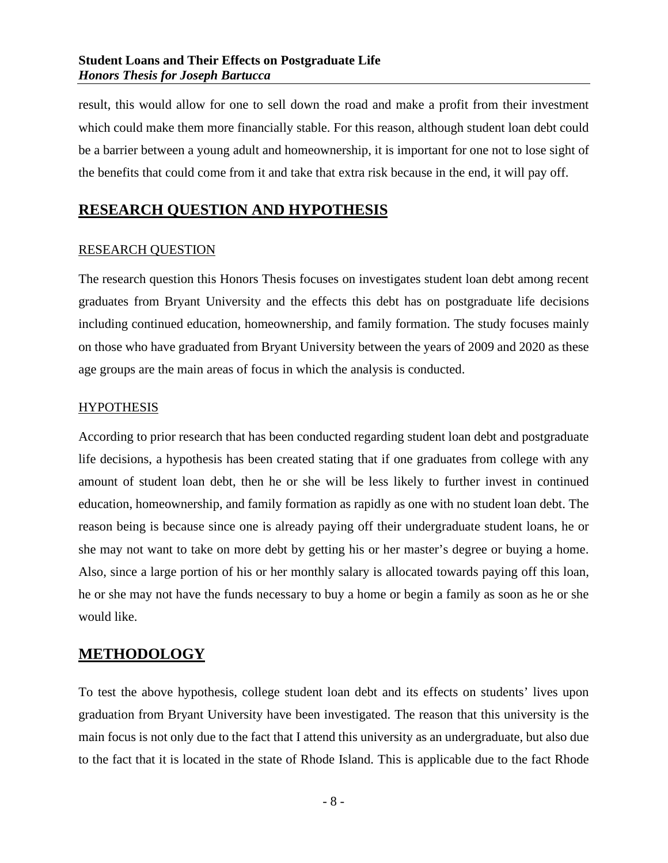result, this would allow for one to sell down the road and make a profit from their investment which could make them more financially stable. For this reason, although student loan debt could be a barrier between a young adult and homeownership, it is important for one not to lose sight of the benefits that could come from it and take that extra risk because in the end, it will pay off.

## <span id="page-8-0"></span>**RESEARCH QUESTION AND HYPOTHESIS**

#### <span id="page-8-1"></span>RESEARCH QUESTION

The research question this Honors Thesis focuses on investigates student loan debt among recent graduates from Bryant University and the effects this debt has on postgraduate life decisions including continued education, homeownership, and family formation. The study focuses mainly on those who have graduated from Bryant University between the years of 2009 and 2020 as these age groups are the main areas of focus in which the analysis is conducted.

#### <span id="page-8-2"></span>**HYPOTHESIS**

According to prior research that has been conducted regarding student loan debt and postgraduate life decisions, a hypothesis has been created stating that if one graduates from college with any amount of student loan debt, then he or she will be less likely to further invest in continued education, homeownership, and family formation as rapidly as one with no student loan debt. The reason being is because since one is already paying off their undergraduate student loans, he or she may not want to take on more debt by getting his or her master's degree or buying a home. Also, since a large portion of his or her monthly salary is allocated towards paying off this loan, he or she may not have the funds necessary to buy a home or begin a family as soon as he or she would like.

## <span id="page-8-3"></span>**METHODOLOGY**

To test the above hypothesis, college student loan debt and its effects on students' lives upon graduation from Bryant University have been investigated. The reason that this university is the main focus is not only due to the fact that I attend this university as an undergraduate, but also due to the fact that it is located in the state of Rhode Island. This is applicable due to the fact Rhode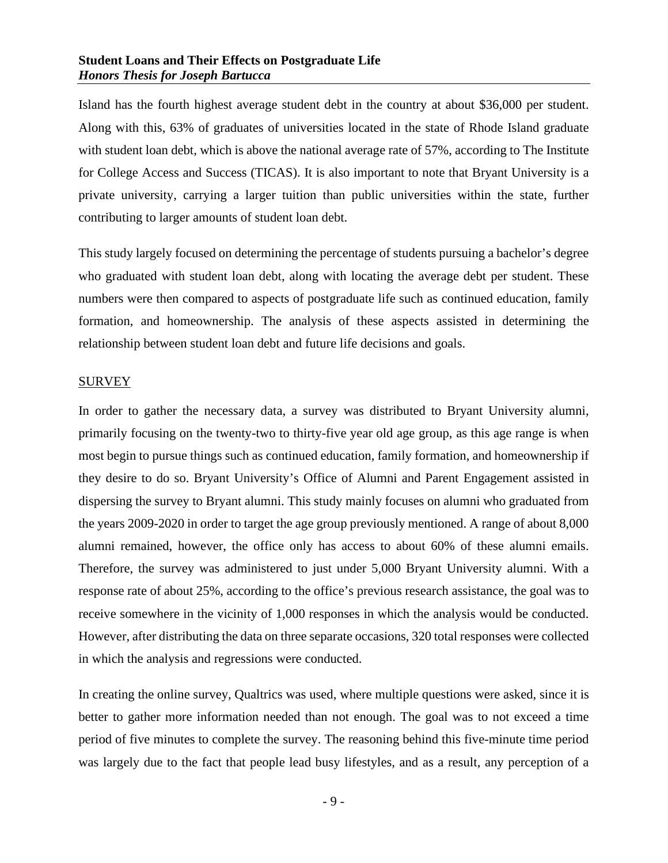Island has the fourth highest average student debt in the country at about \$36,000 per student. Along with this, 63% of graduates of universities located in the state of Rhode Island graduate with student loan debt, which is above the national average rate of 57%, according to The Institute for College Access and Success (TICAS). It is also important to note that Bryant University is a private university, carrying a larger tuition than public universities within the state, further contributing to larger amounts of student loan debt.

This study largely focused on determining the percentage of students pursuing a bachelor's degree who graduated with student loan debt, along with locating the average debt per student. These numbers were then compared to aspects of postgraduate life such as continued education, family formation, and homeownership. The analysis of these aspects assisted in determining the relationship between student loan debt and future life decisions and goals.

#### <span id="page-9-0"></span>**SURVEY**

In order to gather the necessary data, a survey was distributed to Bryant University alumni, primarily focusing on the twenty-two to thirty-five year old age group, as this age range is when most begin to pursue things such as continued education, family formation, and homeownership if they desire to do so. Bryant University's Office of Alumni and Parent Engagement assisted in dispersing the survey to Bryant alumni. This study mainly focuses on alumni who graduated from the years 2009-2020 in order to target the age group previously mentioned. A range of about 8,000 alumni remained, however, the office only has access to about 60% of these alumni emails. Therefore, the survey was administered to just under 5,000 Bryant University alumni. With a response rate of about 25%, according to the office's previous research assistance, the goal was to receive somewhere in the vicinity of 1,000 responses in which the analysis would be conducted. However, after distributing the data on three separate occasions, 320 total responses were collected in which the analysis and regressions were conducted.

In creating the online survey, Qualtrics was used, where multiple questions were asked, since it is better to gather more information needed than not enough. The goal was to not exceed a time period of five minutes to complete the survey. The reasoning behind this five-minute time period was largely due to the fact that people lead busy lifestyles, and as a result, any perception of a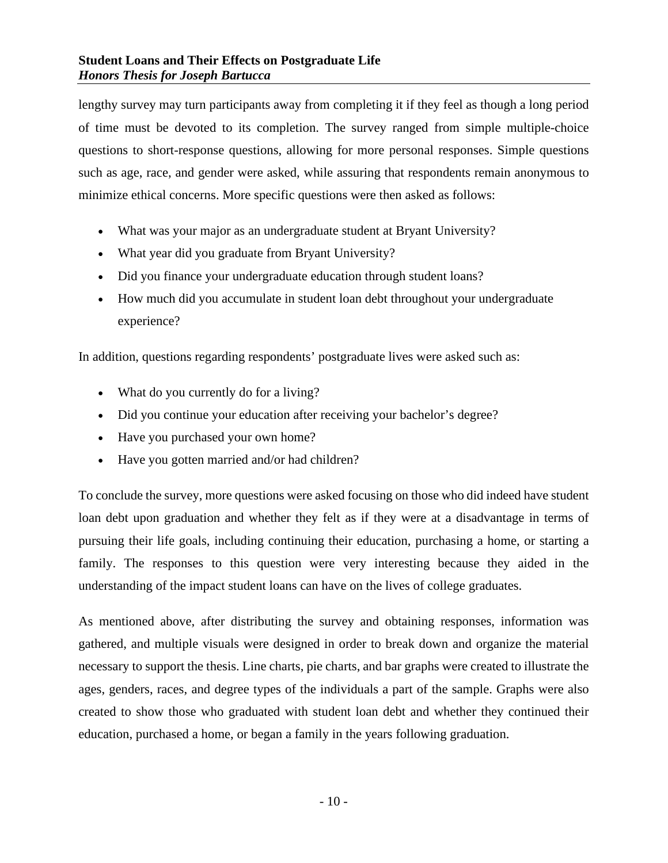lengthy survey may turn participants away from completing it if they feel as though a long period of time must be devoted to its completion. The survey ranged from simple multiple-choice questions to short-response questions, allowing for more personal responses. Simple questions such as age, race, and gender were asked, while assuring that respondents remain anonymous to minimize ethical concerns. More specific questions were then asked as follows:

- What was your major as an undergraduate student at Bryant University?
- What year did you graduate from Bryant University?
- Did you finance your undergraduate education through student loans?
- How much did you accumulate in student loan debt throughout your undergraduate experience?

In addition, questions regarding respondents' postgraduate lives were asked such as:

- What do you currently do for a living?
- Did you continue your education after receiving your bachelor's degree?
- Have you purchased your own home?
- Have you gotten married and/or had children?

To conclude the survey, more questions were asked focusing on those who did indeed have student loan debt upon graduation and whether they felt as if they were at a disadvantage in terms of pursuing their life goals, including continuing their education, purchasing a home, or starting a family. The responses to this question were very interesting because they aided in the understanding of the impact student loans can have on the lives of college graduates.

As mentioned above, after distributing the survey and obtaining responses, information was gathered, and multiple visuals were designed in order to break down and organize the material necessary to support the thesis. Line charts, pie charts, and bar graphs were created to illustrate the ages, genders, races, and degree types of the individuals a part of the sample. Graphs were also created to show those who graduated with student loan debt and whether they continued their education, purchased a home, or began a family in the years following graduation.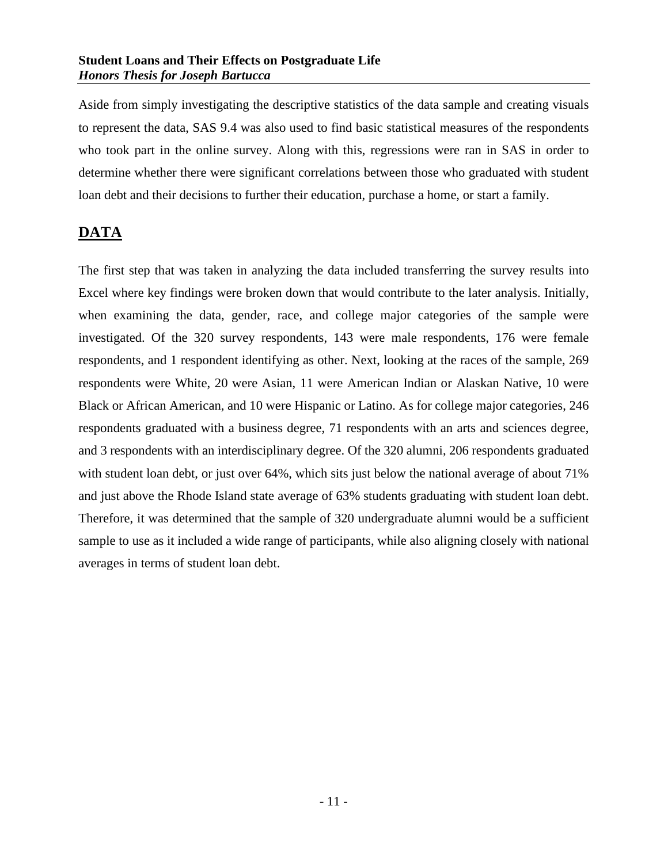Aside from simply investigating the descriptive statistics of the data sample and creating visuals to represent the data, SAS 9.4 was also used to find basic statistical measures of the respondents who took part in the online survey. Along with this, regressions were ran in SAS in order to determine whether there were significant correlations between those who graduated with student loan debt and their decisions to further their education, purchase a home, or start a family.

## <span id="page-11-0"></span>**DATA**

The first step that was taken in analyzing the data included transferring the survey results into Excel where key findings were broken down that would contribute to the later analysis. Initially, when examining the data, gender, race, and college major categories of the sample were investigated. Of the 320 survey respondents, 143 were male respondents, 176 were female respondents, and 1 respondent identifying as other. Next, looking at the races of the sample, 269 respondents were White, 20 were Asian, 11 were American Indian or Alaskan Native, 10 were Black or African American, and 10 were Hispanic or Latino. As for college major categories, 246 respondents graduated with a business degree, 71 respondents with an arts and sciences degree, and 3 respondents with an interdisciplinary degree. Of the 320 alumni, 206 respondents graduated with student loan debt, or just over 64%, which sits just below the national average of about 71% and just above the Rhode Island state average of 63% students graduating with student loan debt. Therefore, it was determined that the sample of 320 undergraduate alumni would be a sufficient sample to use as it included a wide range of participants, while also aligning closely with national averages in terms of student loan debt.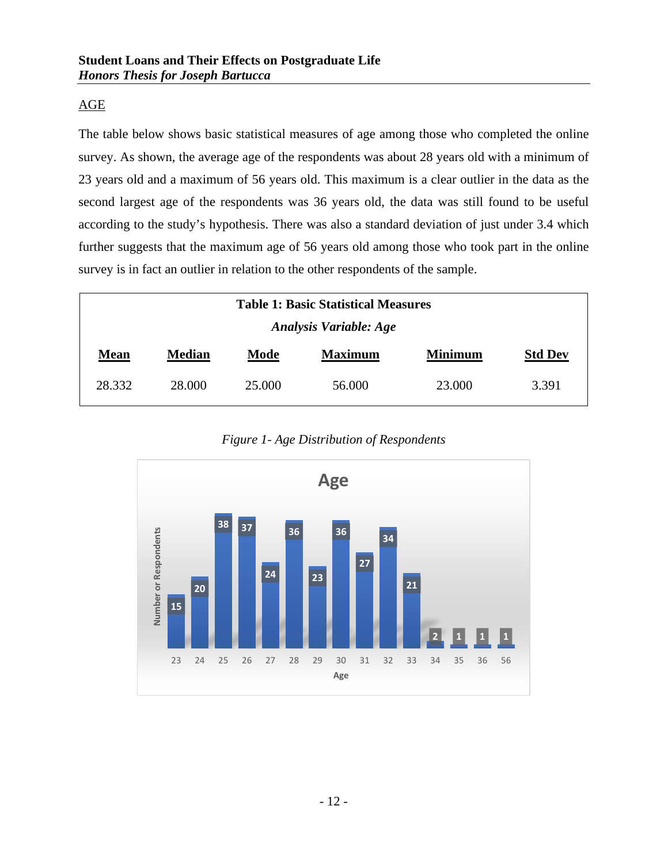## <span id="page-12-0"></span>AGE

The table below shows basic statistical measures of age among those who completed the online survey. As shown, the average age of the respondents was about 28 years old with a minimum of 23 years old and a maximum of 56 years old. This maximum is a clear outlier in the data as the second largest age of the respondents was 36 years old, the data was still found to be useful according to the study's hypothesis. There was also a standard deviation of just under 3.4 which further suggests that the maximum age of 56 years old among those who took part in the online survey is in fact an outlier in relation to the other respondents of the sample.

| <b>Table 1: Basic Statistical Measures</b> |               |        |                |                |                |  |  |
|--------------------------------------------|---------------|--------|----------------|----------------|----------------|--|--|
| <b>Analysis Variable: Age</b>              |               |        |                |                |                |  |  |
| <b>Mean</b>                                | <b>Median</b> | Mode   | <b>Maximum</b> | <b>Minimum</b> | <b>Std Dev</b> |  |  |
| 28.332                                     | 28,000        | 25,000 | 56.000         | 23,000         | 3.391          |  |  |

*Figure 1- Age Distribution of Respondents*

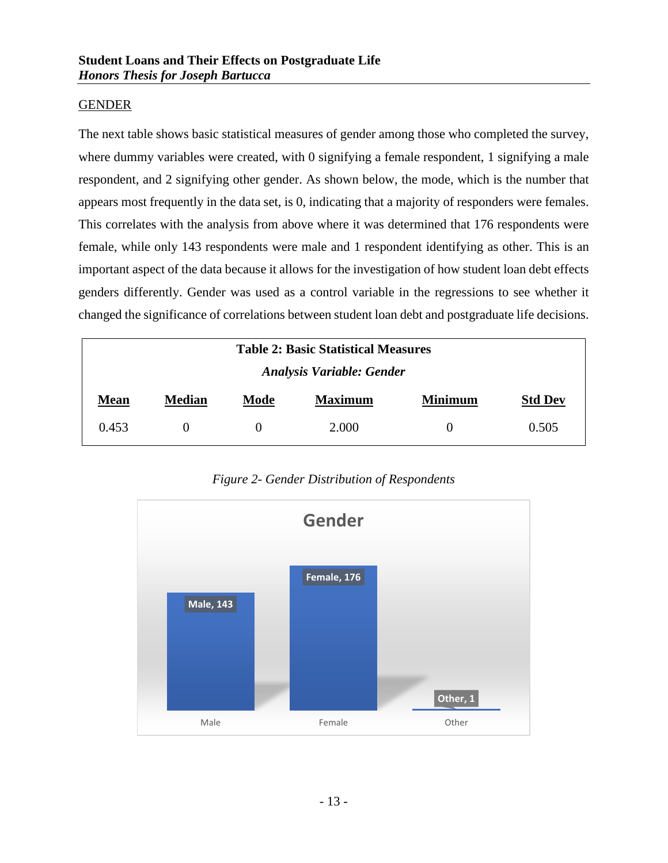#### <span id="page-13-0"></span>GENDER

The next table shows basic statistical measures of gender among those who completed the survey, where dummy variables were created, with 0 signifying a female respondent, 1 signifying a male respondent, and 2 signifying other gender. As shown below, the mode, which is the number that appears most frequently in the data set, is 0, indicating that a majority of responders were females. This correlates with the analysis from above where it was determined that 176 respondents were female, while only 143 respondents were male and 1 respondent identifying as other. This is an important aspect of the data because it allows for the investigation of how student loan debt effects genders differently. Gender was used as a control variable in the regressions to see whether it changed the significance of correlations between student loan debt and postgraduate life decisions.

| <b>Table 2: Basic Statistical Measures</b> |               |          |                |                |                |  |  |
|--------------------------------------------|---------------|----------|----------------|----------------|----------------|--|--|
| <b>Analysis Variable: Gender</b>           |               |          |                |                |                |  |  |
| <b>Mean</b>                                | <b>Median</b> | Mode     | <b>Maximum</b> | <b>Minimum</b> | <b>Std Dev</b> |  |  |
| 0.453                                      |               | $\theta$ | 2.000          | $\theta$       | 0.505          |  |  |



*Figure 2- Gender Distribution of Respondents*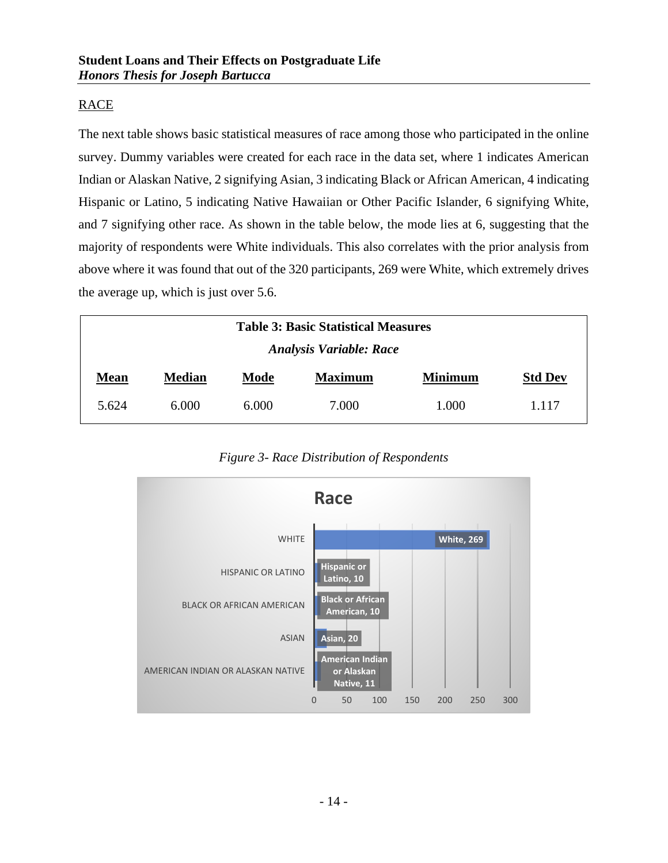## <span id="page-14-0"></span>RACE

The next table shows basic statistical measures of race among those who participated in the online survey. Dummy variables were created for each race in the data set, where 1 indicates American Indian or Alaskan Native, 2 signifying Asian, 3 indicating Black or African American, 4 indicating Hispanic or Latino, 5 indicating Native Hawaiian or Other Pacific Islander, 6 signifying White, and 7 signifying other race. As shown in the table below, the mode lies at 6, suggesting that the majority of respondents were White individuals. This also correlates with the prior analysis from above where it was found that out of the 320 participants, 269 were White, which extremely drives the average up, which is just over 5.6.

| <b>Table 3: Basic Statistical Measures</b> |               |       |                |                |                |  |  |
|--------------------------------------------|---------------|-------|----------------|----------------|----------------|--|--|
| <b>Analysis Variable: Race</b>             |               |       |                |                |                |  |  |
| <b>Mean</b>                                | <b>Median</b> | Mode  | <b>Maximum</b> | <b>Minimum</b> | <b>Std Dev</b> |  |  |
| 5.624                                      | 6.000         | 6.000 | 7.000          | 1.000          | 1.117          |  |  |

*Figure 3- Race Distribution of Respondents*

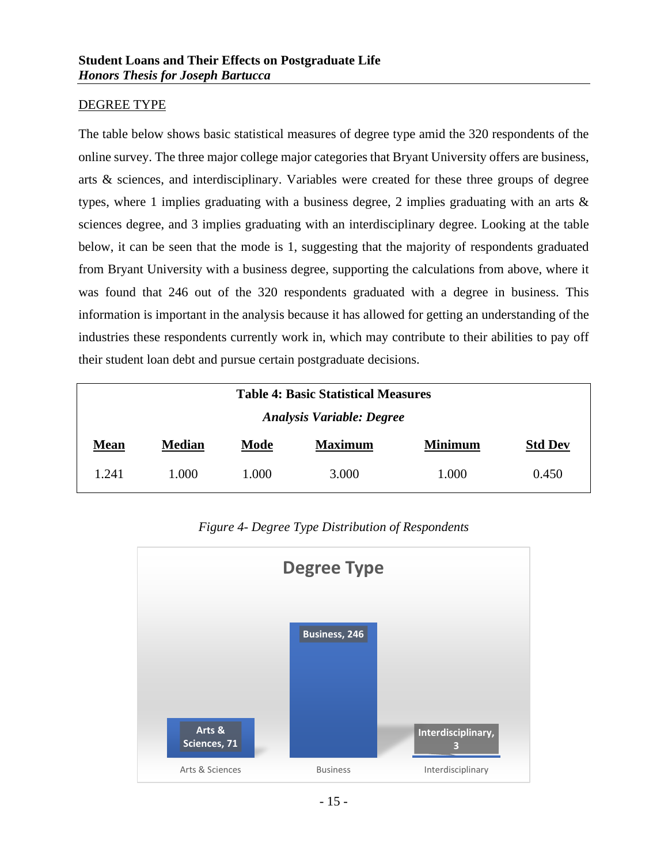#### <span id="page-15-0"></span>DEGREE TYPE

The table below shows basic statistical measures of degree type amid the 320 respondents of the online survey. The three major college major categories that Bryant University offers are business, arts & sciences, and interdisciplinary. Variables were created for these three groups of degree types, where 1 implies graduating with a business degree, 2 implies graduating with an arts  $\&$ sciences degree, and 3 implies graduating with an interdisciplinary degree. Looking at the table below, it can be seen that the mode is 1, suggesting that the majority of respondents graduated from Bryant University with a business degree, supporting the calculations from above, where it was found that 246 out of the 320 respondents graduated with a degree in business. This information is important in the analysis because it has allowed for getting an understanding of the industries these respondents currently work in, which may contribute to their abilities to pay off their student loan debt and pursue certain postgraduate decisions.

| <b>Table 4: Basic Statistical Measures</b> |               |                |       |       |       |  |  |
|--------------------------------------------|---------------|----------------|-------|-------|-------|--|--|
| <b>Analysis Variable: Degree</b>           |               |                |       |       |       |  |  |
| <b>Mean</b>                                | <b>Median</b> | <b>Std Dev</b> |       |       |       |  |  |
| 1.241                                      | 1.000         | 1.000          | 3.000 | 1.000 | 0.450 |  |  |



*Figure 4- Degree Type Distribution of Respondents*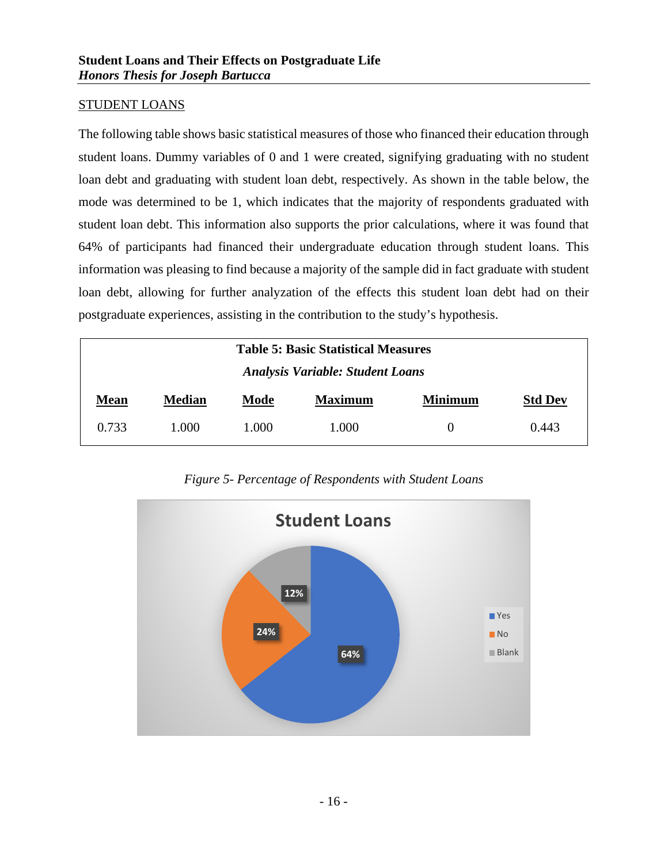#### <span id="page-16-0"></span>STUDENT LOANS

The following table shows basic statistical measures of those who financed their education through student loans. Dummy variables of 0 and 1 were created, signifying graduating with no student loan debt and graduating with student loan debt, respectively. As shown in the table below, the mode was determined to be 1, which indicates that the majority of respondents graduated with student loan debt. This information also supports the prior calculations, where it was found that 64% of participants had financed their undergraduate education through student loans. This information was pleasing to find because a majority of the sample did in fact graduate with student loan debt, allowing for further analyzation of the effects this student loan debt had on their postgraduate experiences, assisting in the contribution to the study's hypothesis.

| <b>Table 5: Basic Statistical Measures</b><br><b>Analysis Variable: Student Loans</b> |               |      |                |                |                |  |  |
|---------------------------------------------------------------------------------------|---------------|------|----------------|----------------|----------------|--|--|
| <b>Mean</b>                                                                           | <b>Median</b> | Mode | <b>Maximum</b> | <b>Minimum</b> | <b>Std Dev</b> |  |  |
| 0.733<br>1.000<br>1.000<br>0.443<br>1.000<br>$\theta$                                 |               |      |                |                |                |  |  |

*Figure 5- Percentage of Respondents with Student Loans*

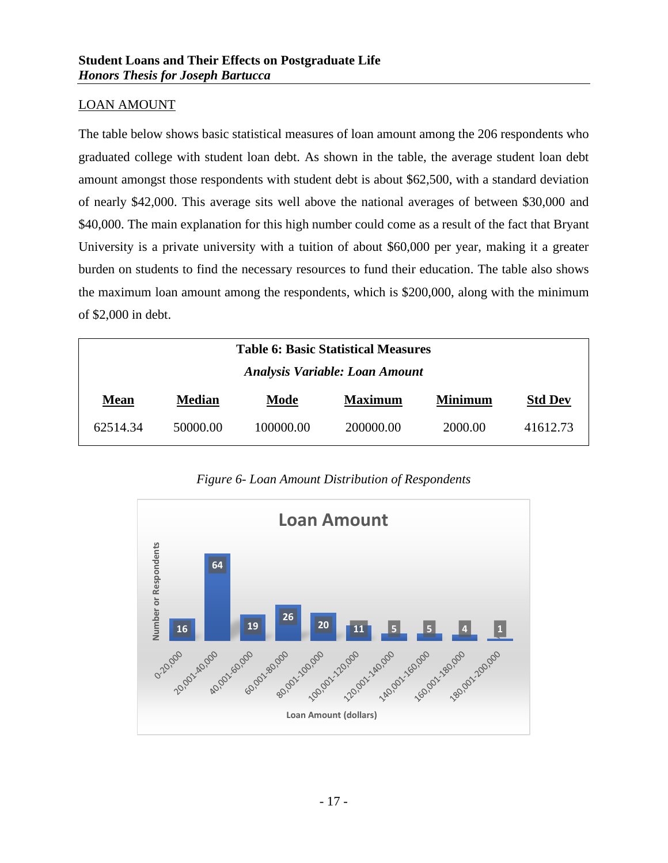#### <span id="page-17-0"></span>LOAN AMOUNT

The table below shows basic statistical measures of loan amount among the 206 respondents who graduated college with student loan debt. As shown in the table, the average student loan debt amount amongst those respondents with student debt is about \$62,500, with a standard deviation of nearly \$42,000. This average sits well above the national averages of between \$30,000 and \$40,000. The main explanation for this high number could come as a result of the fact that Bryant University is a private university with a tuition of about \$60,000 per year, making it a greater burden on students to find the necessary resources to fund their education. The table also shows the maximum loan amount among the respondents, which is \$200,000, along with the minimum of \$2,000 in debt.

| <b>Table 6: Basic Statistical Measures</b> |               |           |                |                |                |  |  |  |
|--------------------------------------------|---------------|-----------|----------------|----------------|----------------|--|--|--|
| <b>Analysis Variable: Loan Amount</b>      |               |           |                |                |                |  |  |  |
| <b>Mean</b>                                | <b>Median</b> | Mode      | <b>Maximum</b> | <b>Minimum</b> | <b>Std Dev</b> |  |  |  |
| 62514.34                                   | 50000.00      | 100000.00 | 200000.00      | 2000.00        | 41612.73       |  |  |  |

*Figure 6- Loan Amount Distribution of Respondents*

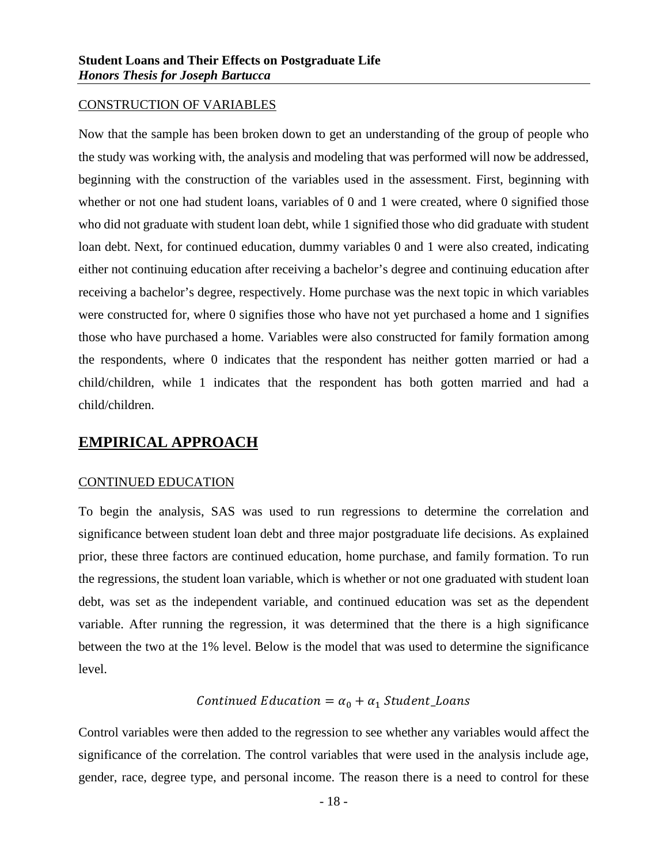#### <span id="page-18-0"></span>CONSTRUCTION OF VARIABLES

Now that the sample has been broken down to get an understanding of the group of people who the study was working with, the analysis and modeling that was performed will now be addressed, beginning with the construction of the variables used in the assessment. First, beginning with whether or not one had student loans, variables of 0 and 1 were created, where 0 signified those who did not graduate with student loan debt, while 1 signified those who did graduate with student loan debt. Next, for continued education, dummy variables 0 and 1 were also created, indicating either not continuing education after receiving a bachelor's degree and continuing education after receiving a bachelor's degree, respectively. Home purchase was the next topic in which variables were constructed for, where 0 signifies those who have not yet purchased a home and 1 signifies those who have purchased a home. Variables were also constructed for family formation among the respondents, where 0 indicates that the respondent has neither gotten married or had a child/children, while 1 indicates that the respondent has both gotten married and had a child/children.

## <span id="page-18-1"></span>**EMPIRICAL APPROACH**

#### <span id="page-18-2"></span>CONTINUED EDUCATION

To begin the analysis, SAS was used to run regressions to determine the correlation and significance between student loan debt and three major postgraduate life decisions. As explained prior, these three factors are continued education, home purchase, and family formation. To run the regressions, the student loan variable, which is whether or not one graduated with student loan debt, was set as the independent variable, and continued education was set as the dependent variable. After running the regression, it was determined that the there is a high significance between the two at the 1% level. Below is the model that was used to determine the significance level.

#### Continued Education =  $\alpha_0 + \alpha_1$  Student\_Loans

Control variables were then added to the regression to see whether any variables would affect the significance of the correlation. The control variables that were used in the analysis include age, gender, race, degree type, and personal income. The reason there is a need to control for these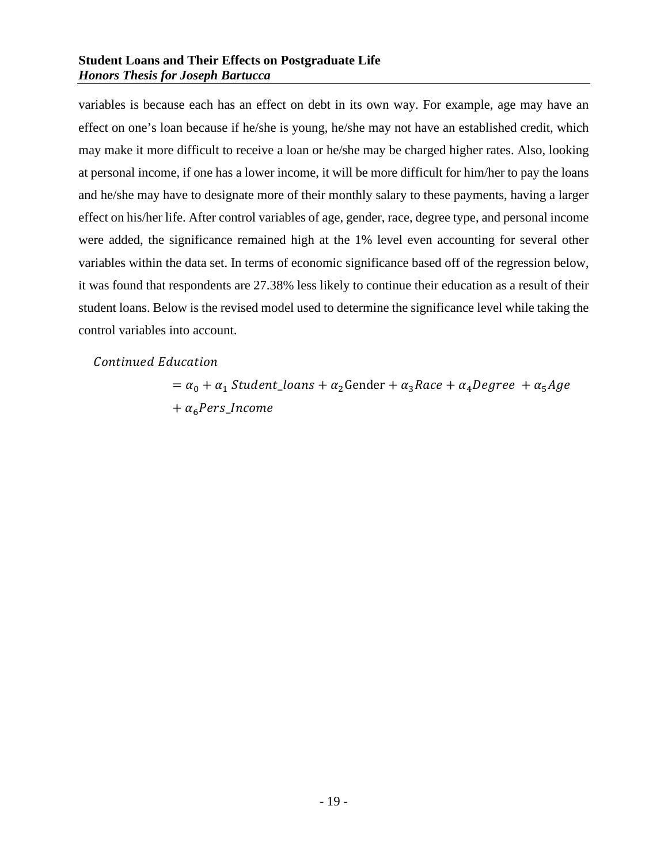variables is because each has an effect on debt in its own way. For example, age may have an effect on one's loan because if he/she is young, he/she may not have an established credit, which may make it more difficult to receive a loan or he/she may be charged higher rates. Also, looking at personal income, if one has a lower income, it will be more difficult for him/her to pay the loans and he/she may have to designate more of their monthly salary to these payments, having a larger effect on his/her life. After control variables of age, gender, race, degree type, and personal income were added, the significance remained high at the 1% level even accounting for several other variables within the data set. In terms of economic significance based off of the regression below, it was found that respondents are 27.38% less likely to continue their education as a result of their student loans. Below is the revised model used to determine the significance level while taking the control variables into account.

Continued Education

 $= \alpha_0 + \alpha_1$  Student\_loans +  $\alpha_2$ Gender +  $\alpha_3$ Race +  $\alpha_4$ Degree +  $\alpha_5$ Age  $+ \alpha_6$ Pers\_Income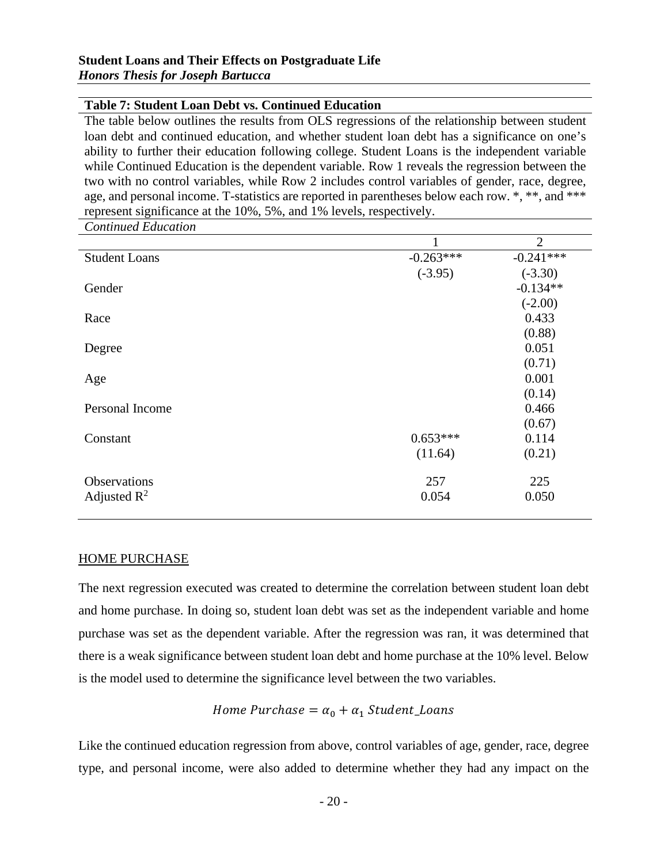#### **Table 7: Student Loan Debt vs. Continued Education**

The table below outlines the results from OLS regressions of the relationship between student loan debt and continued education, and whether student loan debt has a significance on one's ability to further their education following college. Student Loans is the independent variable while Continued Education is the dependent variable. Row 1 reveals the regression between the two with no control variables, while Row 2 includes control variables of gender, race, degree, age, and personal income. T-statistics are reported in parentheses below each row. \*, \*\*, and \*\*\* represent significance at the 10%, 5%, and 1% levels, respectively.

*Continued Education* 1 2 Student Loans -0.263\*\*\* -0.241\*\*\* (-3.95) (-3.30) Gender  $-0.134**$  $(-2.00)$ Race  $0.433$ (0.88)  $\text{Degree}$  0.051 (0.71)  $\text{Age}$  0.001 (0.14) Personal Income 0.466 (0.67)  $Constant$   $0.653***$   $0.114$  $(11.64)$   $(0.21)$ Observations 257 225 Adjusted  $\mathbb{R}^2$  0.054 0.050

#### <span id="page-20-0"></span>HOME PURCHASE

The next regression executed was created to determine the correlation between student loan debt and home purchase. In doing so, student loan debt was set as the independent variable and home purchase was set as the dependent variable. After the regression was ran, it was determined that there is a weak significance between student loan debt and home purchase at the 10% level. Below is the model used to determine the significance level between the two variables.

## Home Purchase =  $\alpha_0 + \alpha_1$  Student\_Loans

Like the continued education regression from above, control variables of age, gender, race, degree type, and personal income, were also added to determine whether they had any impact on the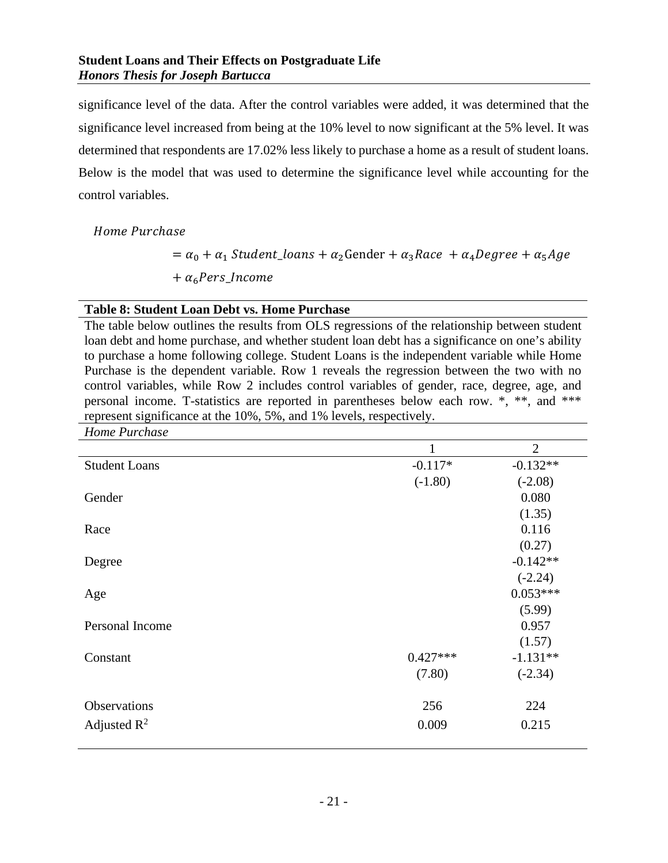significance level of the data. After the control variables were added, it was determined that the significance level increased from being at the 10% level to now significant at the 5% level. It was determined that respondents are 17.02% less likely to purchase a home as a result of student loans. Below is the model that was used to determine the significance level while accounting for the control variables.

Home Purchase

 $= \alpha_0 + \alpha_1$  Student\_loans +  $\alpha_2$ Gender +  $\alpha_3$ Race +  $\alpha_4$ Degree +  $\alpha_5$ Age  $+ \alpha_6$ Pers\_Income

#### **Table 8: Student Loan Debt vs. Home Purchase**

The table below outlines the results from OLS regressions of the relationship between student loan debt and home purchase, and whether student loan debt has a significance on one's ability to purchase a home following college. Student Loans is the independent variable while Home Purchase is the dependent variable. Row 1 reveals the regression between the two with no control variables, while Row 2 includes control variables of gender, race, degree, age, and personal income. T-statistics are reported in parentheses below each row. \*, \*\*, and \*\*\* represent significance at the 10%, 5%, and 1% levels, respectively.

| 1          | $\overline{2}$ |
|------------|----------------|
| $-0.117*$  | $-0.132**$     |
| $(-1.80)$  | $(-2.08)$      |
|            | 0.080          |
|            | (1.35)         |
|            | 0.116          |
|            | (0.27)         |
|            | $-0.142**$     |
|            | $(-2.24)$      |
|            | $0.053***$     |
|            | (5.99)         |
|            | 0.957          |
|            | (1.57)         |
| $0.427***$ | $-1.131**$     |
| (7.80)     | $(-2.34)$      |
|            | 224            |
| 0.009      | 0.215          |
|            | 256            |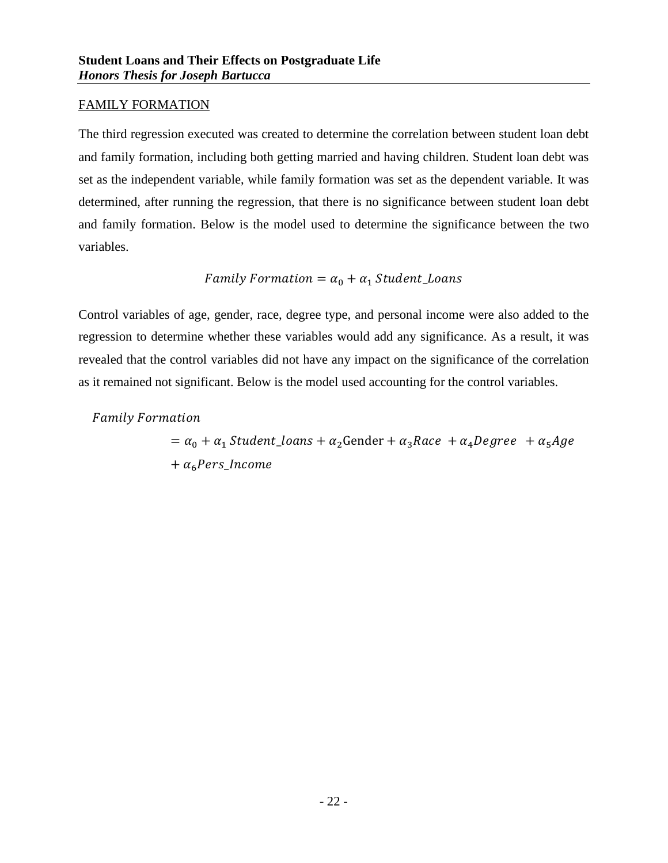#### <span id="page-22-0"></span>FAMILY FORMATION

The third regression executed was created to determine the correlation between student loan debt and family formation, including both getting married and having children. Student loan debt was set as the independent variable, while family formation was set as the dependent variable. It was determined, after running the regression, that there is no significance between student loan debt and family formation. Below is the model used to determine the significance between the two variables.

### Family Formation =  $\alpha_0 + \alpha_1$  Student\_Loans

Control variables of age, gender, race, degree type, and personal income were also added to the regression to determine whether these variables would add any significance. As a result, it was revealed that the control variables did not have any impact on the significance of the correlation as it remained not significant. Below is the model used accounting for the control variables.

**Family Formation** 

 $= \alpha_0 + \alpha_1$  Student\_loans +  $\alpha_2$ Gender +  $\alpha_3$ Race +  $\alpha_4$ Degree +  $\alpha_5$ Age  $+ \alpha_6 Pers\_Income$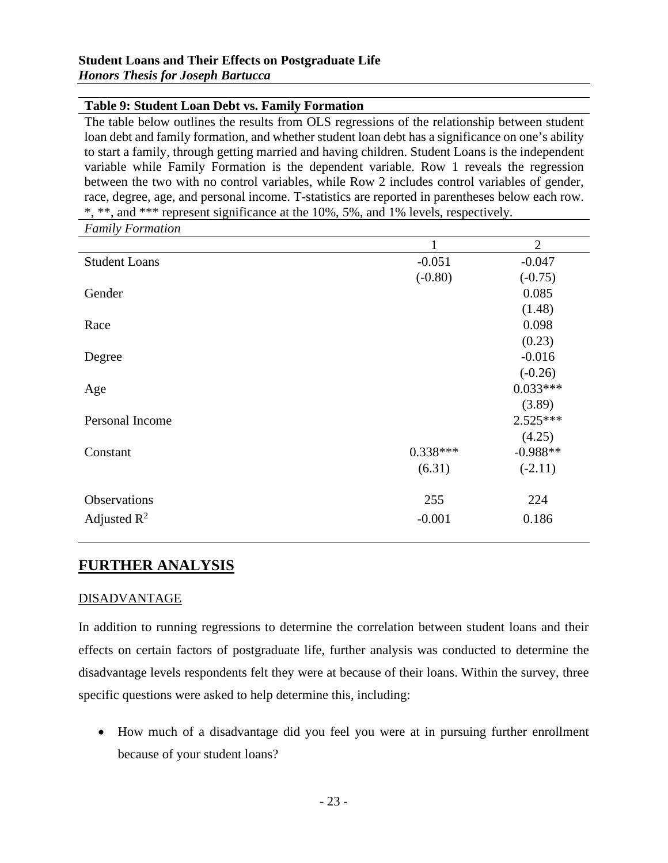#### **Table 9: Student Loan Debt vs. Family Formation**

The table below outlines the results from OLS regressions of the relationship between student loan debt and family formation, and whether student loan debt has a significance on one's ability to start a family, through getting married and having children. Student Loans is the independent variable while Family Formation is the dependent variable. Row 1 reveals the regression between the two with no control variables, while Row 2 includes control variables of gender, race, degree, age, and personal income. T-statistics are reported in parentheses below each row. \*, \*\*, and \*\*\* represent significance at the 10%, 5%, and 1% levels, respectively.

*Family Formation*

|                      | $\mathbf{1}$ | $\overline{2}$ |
|----------------------|--------------|----------------|
| <b>Student Loans</b> | $-0.051$     | $-0.047$       |
|                      | $(-0.80)$    | $(-0.75)$      |
| Gender               |              | 0.085          |
|                      |              | (1.48)         |
| Race                 |              | 0.098          |
|                      |              | (0.23)         |
| Degree               |              | $-0.016$       |
|                      |              | $(-0.26)$      |
| Age                  |              | $0.033***$     |
|                      |              | (3.89)         |
| Personal Income      |              | $2.525***$     |
|                      |              | (4.25)         |
| Constant             | $0.338***$   | $-0.988**$     |
|                      | (6.31)       | $(-2.11)$      |
| Observations         | 255          | 224            |
| Adjusted $R^2$       | $-0.001$     | 0.186          |

## <span id="page-23-0"></span>**FURTHER ANALYSIS**

#### <span id="page-23-1"></span>DISADVANTAGE

In addition to running regressions to determine the correlation between student loans and their effects on certain factors of postgraduate life, further analysis was conducted to determine the disadvantage levels respondents felt they were at because of their loans. Within the survey, three specific questions were asked to help determine this, including:

• How much of a disadvantage did you feel you were at in pursuing further enrollment because of your student loans?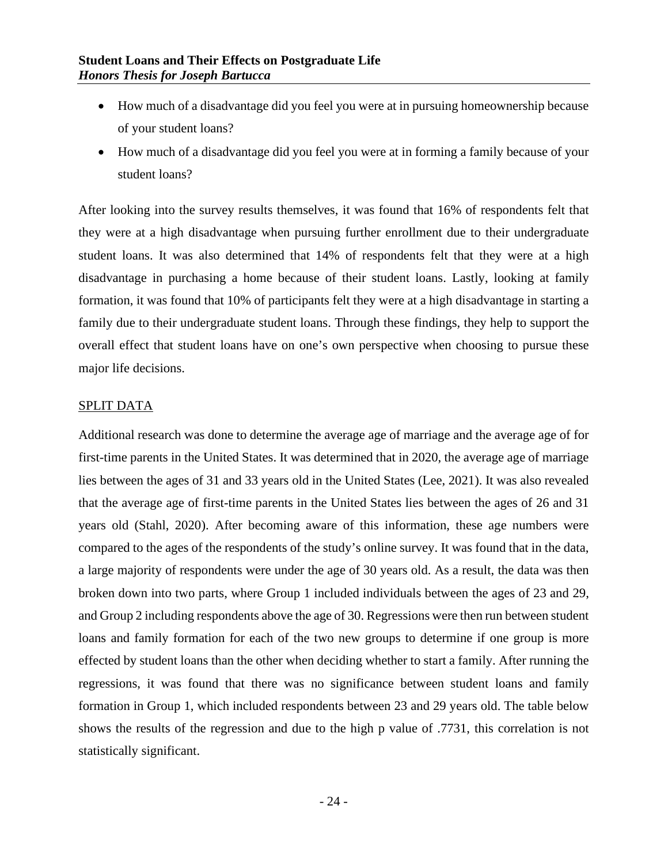- How much of a disadvantage did you feel you were at in pursuing homeownership because of your student loans?
- How much of a disadvantage did you feel you were at in forming a family because of your student loans?

After looking into the survey results themselves, it was found that 16% of respondents felt that they were at a high disadvantage when pursuing further enrollment due to their undergraduate student loans. It was also determined that 14% of respondents felt that they were at a high disadvantage in purchasing a home because of their student loans. Lastly, looking at family formation, it was found that 10% of participants felt they were at a high disadvantage in starting a family due to their undergraduate student loans. Through these findings, they help to support the overall effect that student loans have on one's own perspective when choosing to pursue these major life decisions.

#### <span id="page-24-0"></span>SPLIT DATA

Additional research was done to determine the average age of marriage and the average age of for first-time parents in the United States. It was determined that in 2020, the average age of marriage lies between the ages of 31 and 33 years old in the United States (Lee, 2021). It was also revealed that the average age of first-time parents in the United States lies between the ages of 26 and 31 years old (Stahl, 2020). After becoming aware of this information, these age numbers were compared to the ages of the respondents of the study's online survey. It was found that in the data, a large majority of respondents were under the age of 30 years old. As a result, the data was then broken down into two parts, where Group 1 included individuals between the ages of 23 and 29, and Group 2 including respondents above the age of 30. Regressions were then run between student loans and family formation for each of the two new groups to determine if one group is more effected by student loans than the other when deciding whether to start a family. After running the regressions, it was found that there was no significance between student loans and family formation in Group 1, which included respondents between 23 and 29 years old. The table below shows the results of the regression and due to the high p value of .7731, this correlation is not statistically significant.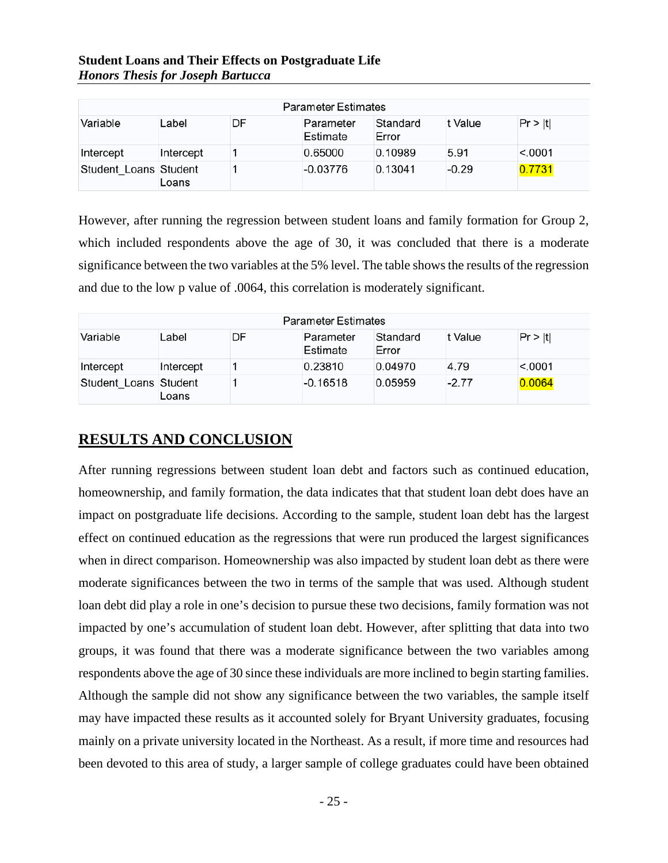|  |                                          | <b>Student Loans and Their Effects on Postgraduate Life</b> |  |
|--|------------------------------------------|-------------------------------------------------------------|--|
|  | <b>Honors Thesis for Joseph Bartucca</b> |                                                             |  |

| <b>Parameter Estimates</b> |           |    |                       |                   |         |         |  |  |
|----------------------------|-----------|----|-----------------------|-------------------|---------|---------|--|--|
| Variable                   | Label     | DF | Parameter<br>Estimate | Standard<br>Error | t Value | Pr >  t |  |  |
| Intercept                  | Intercept |    | 0.65000               | 0.10989           | 5.91    | < 0001  |  |  |
| Student Loans Student      | Loans     |    | $-0.03776$            | 0.13041           | $-0.29$ | 0.7731  |  |  |

However, after running the regression between student loans and family formation for Group 2, which included respondents above the age of 30, it was concluded that there is a moderate significance between the two variables at the 5% level. The table shows the results of the regression and due to the low p value of .0064, this correlation is moderately significant.

| <b>Parameter Estimates</b> |           |    |                       |                   |         |         |  |  |
|----------------------------|-----------|----|-----------------------|-------------------|---------|---------|--|--|
| Variable                   | Label     | DF | Parameter<br>Estimate | Standard<br>Error | t Value | Pr >  t |  |  |
| Intercept                  | Intercept |    | 0.23810               | 0.04970           | 4.79    | < 0001  |  |  |
| Student Loans Student      | Loans     |    | $-0.16518$            | 0.05959           | $-2.77$ | 0.0064  |  |  |

## <span id="page-25-0"></span>**RESULTS AND CONCLUSION**

After running regressions between student loan debt and factors such as continued education, homeownership, and family formation, the data indicates that that student loan debt does have an impact on postgraduate life decisions. According to the sample, student loan debt has the largest effect on continued education as the regressions that were run produced the largest significances when in direct comparison. Homeownership was also impacted by student loan debt as there were moderate significances between the two in terms of the sample that was used. Although student loan debt did play a role in one's decision to pursue these two decisions, family formation was not impacted by one's accumulation of student loan debt. However, after splitting that data into two groups, it was found that there was a moderate significance between the two variables among respondents above the age of 30 since these individuals are more inclined to begin starting families. Although the sample did not show any significance between the two variables, the sample itself may have impacted these results as it accounted solely for Bryant University graduates, focusing mainly on a private university located in the Northeast. As a result, if more time and resources had been devoted to this area of study, a larger sample of college graduates could have been obtained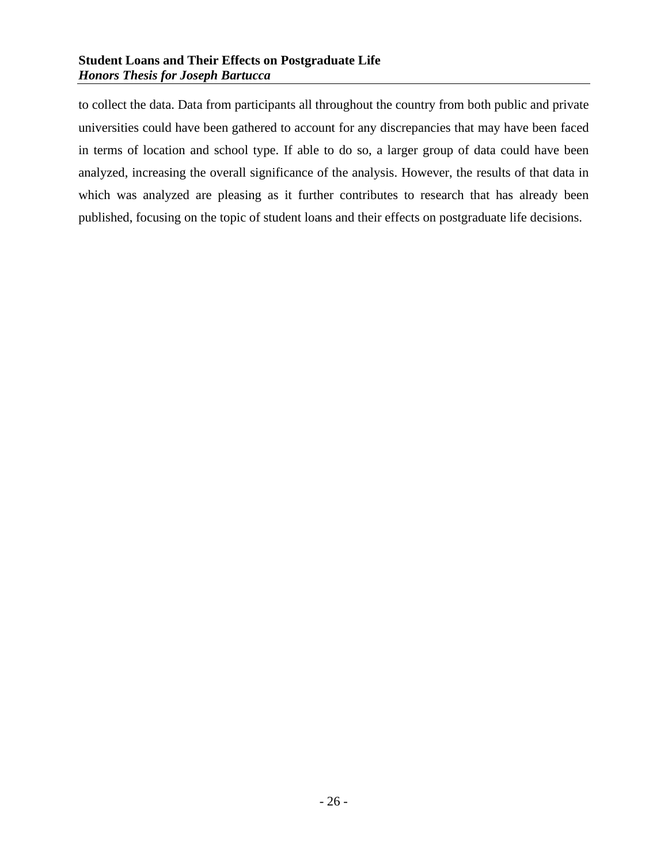to collect the data. Data from participants all throughout the country from both public and private universities could have been gathered to account for any discrepancies that may have been faced in terms of location and school type. If able to do so, a larger group of data could have been analyzed, increasing the overall significance of the analysis. However, the results of that data in which was analyzed are pleasing as it further contributes to research that has already been published, focusing on the topic of student loans and their effects on postgraduate life decisions.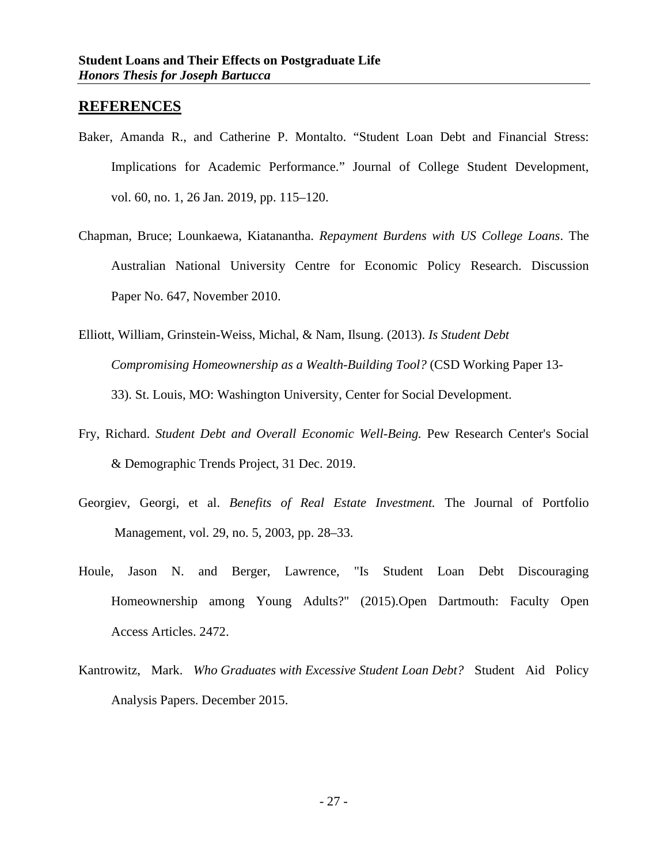#### <span id="page-27-0"></span>**REFERENCES**

- Baker, Amanda R., and Catherine P. Montalto. "Student Loan Debt and Financial Stress: Implications for Academic Performance." Journal of College Student Development, vol. 60, no. 1, 26 Jan. 2019, pp. 115–120.
- Chapman, Bruce; Lounkaewa, Kiatanantha. *Repayment Burdens with US College Loans*. The Australian National University Centre for Economic Policy Research. Discussion Paper No. 647, November 2010.
- Elliott, William, Grinstein-Weiss, Michal, & Nam, Ilsung. (2013). *Is Student Debt Compromising Homeownership as a Wealth-Building Tool?* (CSD Working Paper 13- 33). St. Louis, MO: Washington University, Center for Social Development.
- Fry, Richard. *Student Debt and Overall Economic Well-Being.* Pew Research Center's Social & Demographic Trends Project, 31 Dec. 2019.
- Georgiev, Georgi, et al. *Benefits of Real Estate Investment.* The Journal of Portfolio Management, vol. 29, no. 5, 2003, pp. 28–33.
- Houle, Jason N. and Berger, Lawrence, "Is Student Loan Debt Discouraging Homeownership among Young Adults?" (2015).Open Dartmouth: Faculty Open Access Articles. 2472.
- Kantrowitz, Mark. *Who Graduates with Excessive Student Loan Debt?* Student Aid Policy Analysis Papers. December 2015.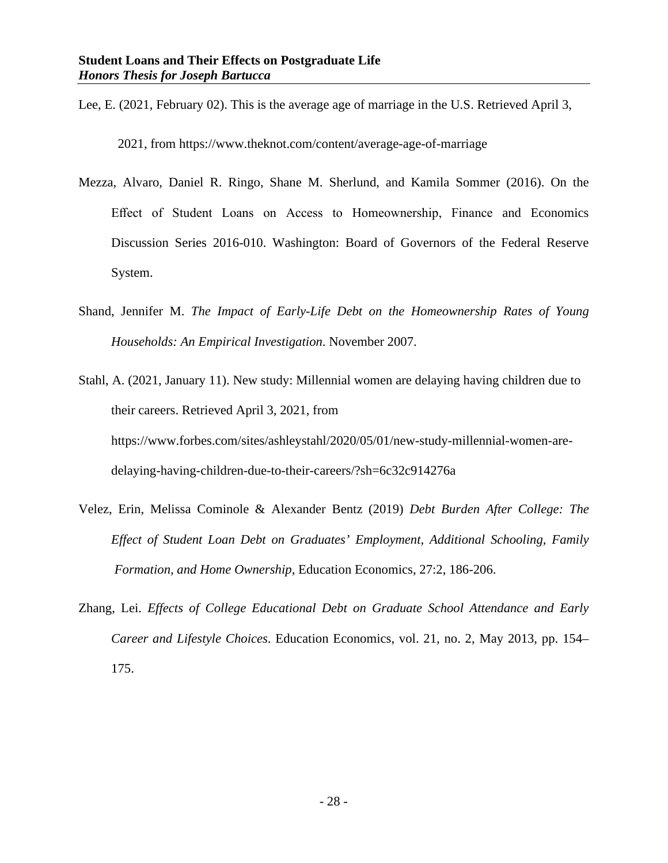Lee, E. (2021, February 02). This is the average age of marriage in the U.S. Retrieved April 3,

2021, from https://www.theknot.com/content/average-age-of-marriage

- Mezza, Alvaro, Daniel R. Ringo, Shane M. Sherlund, and Kamila Sommer (2016). On the Effect of Student Loans on Access to Homeownership, Finance and Economics Discussion Series 2016-010. Washington: Board of Governors of the Federal Reserve System.
- Shand, Jennifer M. *The Impact of Early-Life Debt on the Homeownership Rates of Young Households: An Empirical Investigation*. November 2007.
- Stahl, A. (2021, January 11). New study: Millennial women are delaying having children due to their careers. Retrieved April 3, 2021, from https://www.forbes.com/sites/ashleystahl/2020/05/01/new-study-millennial-women-are delaying-having-children-due-to-their-careers/?sh=6c32c914276a
- Velez, Erin, Melissa Cominole & Alexander Bentz (2019) *Debt Burden After College: The Effect of Student Loan Debt on Graduates' Employment, Additional Schooling, Family Formation, and Home Ownership*, Education Economics, 27:2, 186-206.
- Zhang, Lei. *Effects of College Educational Debt on Graduate School Attendance and Early Career and Lifestyle Choices*. Education Economics, vol. 21, no. 2, May 2013, pp. 154– 175.